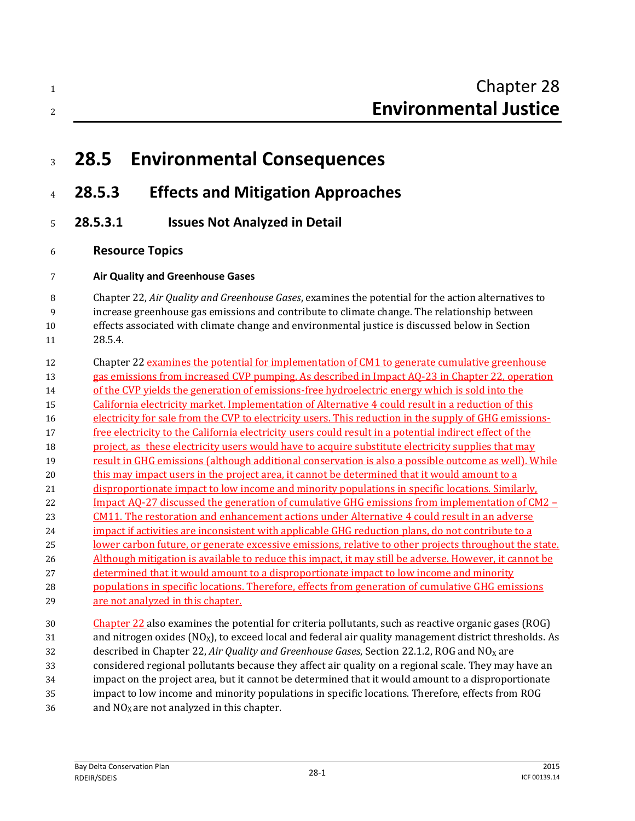# **28.5 Environmental Consequences**

### **28.5.3 Effects and Mitigation Approaches**

- **28.5.3.1 Issues Not Analyzed in Detail**
- **Resource Topics**

#### **Air Quality and Greenhouse Gases**

 Chapter 22, *Air Quality and Greenhouse Gases*, examines the potential for the action alternatives to increase greenhouse gas emissions and contribute to climate change. The relationship between effects associated with climate change and environmental justice is discussed below in Section 28.5.4.

12 Chapter 22 examines the potential for implementation of CM1 to generate cumulative greenhouse 13 gas emissions from increased CVP pumping. As described in Impact AQ-23 in Chapter 22, operation 14 of the CVP yields the generation of emissions-free hydroelectric energy which is sold into the California electricity market. Implementation of Alternative 4 could result in a reduction of this 16 electricity for sale from the CVP to electricity users. This reduction in the supply of GHG emissions- free electricity to the California electricity users could result in a potential indirect effect of the project, as these electricity users would have to acquire substitute electricity supplies that may result in GHG emissions (although additional conservation is also a possible outcome as well). While this may impact users in the project area, it cannot be determined that it would amount to a disproportionate impact to low income and minority populations in specific locations. Similarly, Impact AQ-27 discussed the generation of cumulative GHG emissions from implementation of CM2 – CM11. The restoration and enhancement actions under Alternative 4 could result in an adverse impact if activities are inconsistent with applicable GHG reduction plans, do not contribute to a lower carbon future, or generate excessive emissions, relative to other projects throughout the state. Although mitigation is available to reduce this impact, it may still be adverse. However, it cannot be determined that it would amount to a disproportionate impact to low income and minority populations in specific locations. Therefore, effects from generation of cumulative GHG emissions are not analyzed in this chapter.

 Chapter 22 also examines the potential for criteria pollutants, such as reactive organic gases (ROG) 31 and nitrogen oxides  $(NO_X)$ , to exceed local and federal air quality management district thresholds. As 32 described in Chapter 22, *Air Quality and Greenhouse Gases*, Section 22.1.2, ROG and NO<sub>X</sub> are considered regional pollutants because they affect air quality on a regional scale. They may have an impact on the project area, but it cannot be determined that it would amount to a disproportionate impact to low income and minority populations in specific locations. Therefore, effects from ROG 36 and  $NO<sub>X</sub>$  are not analyzed in this chapter.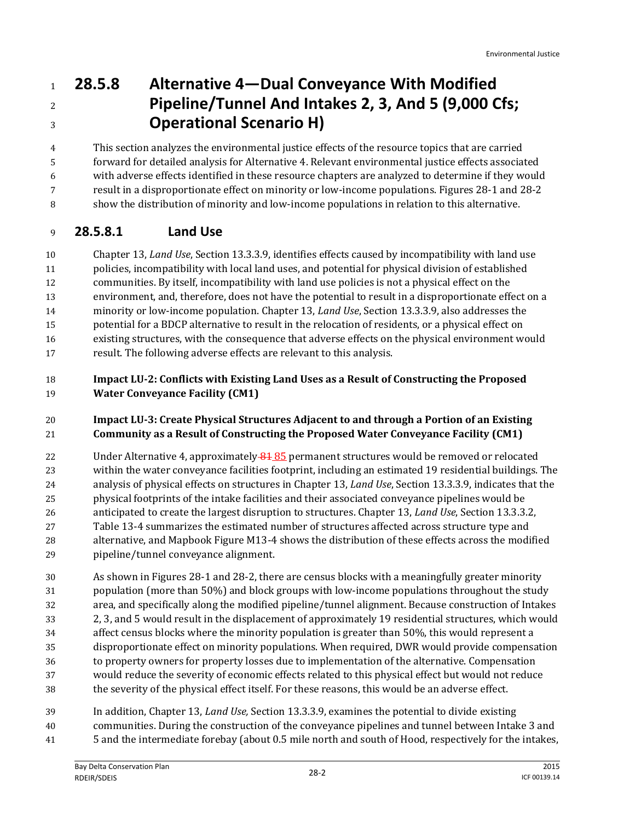# **28.5.8 Alternative 4—Dual Conveyance With Modified Pipeline/Tunnel And Intakes 2, 3, And 5 (9,000 Cfs; Operational Scenario H)**

 This section analyzes the environmental justice effects of the resource topics that are carried forward for detailed analysis for Alternative 4. Relevant environmental justice effects associated with adverse effects identified in these resource chapters are analyzed to determine if they would result in a disproportionate effect on minority or low-income populations. Figures 28-1 and 28-2

show the distribution of minority and low-income populations in relation to this alternative.

### **28.5.8.1 Land Use**

 Chapter 13, *Land Use*, Section 13.3.3.9, identifies effects caused by incompatibility with land use policies, incompatibility with local land uses, and potential for physical division of established communities. By itself, incompatibility with land use policies is not a physical effect on the environment, and, therefore, does not have the potential to result in a disproportionate effect on a minority or low-income population. Chapter 13, *Land Use*, Section 13.3.3.9, also addresses the potential for a BDCP alternative to result in the relocation of residents, or a physical effect on existing structures, with the consequence that adverse effects on the physical environment would result. The following adverse effects are relevant to this analysis.

#### **Impact LU-2: Conflicts with Existing Land Uses as a Result of Constructing the Proposed Water Conveyance Facility (CM1)**

### **Impact LU-3: Create Physical Structures Adjacent to and through a Portion of an Existing Community as a Result of Constructing the Proposed Water Conveyance Facility (CM1)**

22 Under Alternative 4, approximately 81 85 permanent structures would be removed or relocated within the water conveyance facilities footprint, including an estimated 19 residential buildings. The analysis of physical effects on structures in Chapter 13, *Land Use*, Section 13.3.3.9, indicates that the physical footprints of the intake facilities and their associated conveyance pipelines would be anticipated to create the largest disruption to structures. Chapter 13, *Land Use*, Section 13.3.3.2, Table 13-4 summarizes the estimated number of structures affected across structure type and alternative, and Mapbook Figure M13-4 shows the distribution of these effects across the modified pipeline/tunnel conveyance alignment.

 As shown in Figures 28-1 and 28-2, there are census blocks with a meaningfully greater minority population (more than 50%) and block groups with low-income populations throughout the study area, and specifically along the modified pipeline/tunnel alignment. Because construction of Intakes 2, 3, and 5 would result in the displacement of approximately 19 residential structures, which would affect census blocks where the minority population is greater than 50%, this would represent a disproportionate effect on minority populations. When required, DWR would provide compensation to property owners for property losses due to implementation of the alternative. Compensation would reduce the severity of economic effects related to this physical effect but would not reduce the severity of the physical effect itself. For these reasons, this would be an adverse effect.

 In addition, Chapter 13, *Land Use,* Section 13.3.3.9, examines the potential to divide existing communities. During the construction of the conveyance pipelines and tunnel between Intake 3 and 5 and the intermediate forebay (about 0.5 mile north and south of Hood, respectively for the intakes,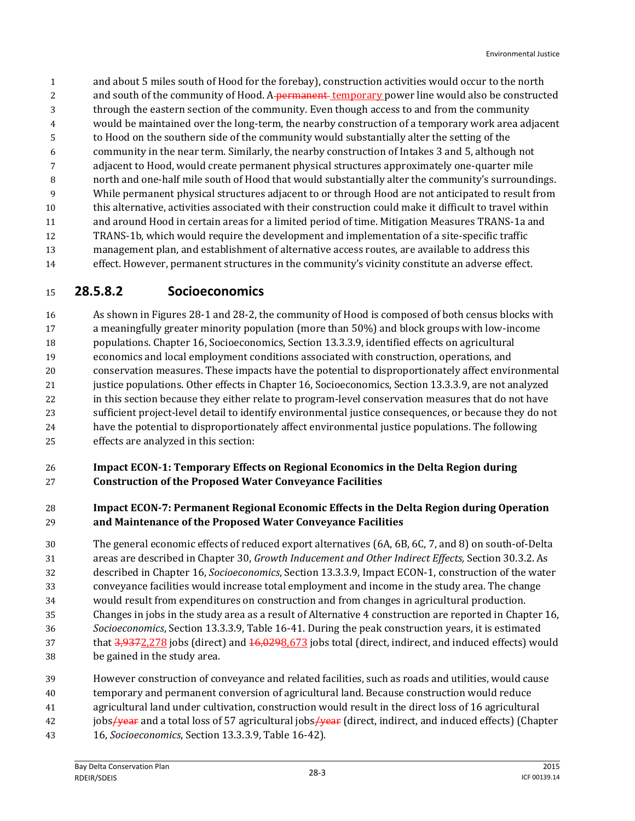and about 5 miles south of Hood for the forebay), construction activities would occur to the north 2 and south of the community of Hood. A permanent temporary power line would also be constructed through the eastern section of the community. Even though access to and from the community would be maintained over the long-term, the nearby construction of a temporary work area adjacent to Hood on the southern side of the community would substantially alter the setting of the community in the near term. Similarly, the nearby construction of Intakes 3 and 5, although not adjacent to Hood, would create permanent physical structures approximately one-quarter mile north and one-half mile south of Hood that would substantially alter the community's surroundings. While permanent physical structures adjacent to or through Hood are not anticipated to result from this alternative, activities associated with their construction could make it difficult to travel within and around Hood in certain areas for a limited period of time. Mitigation Measures TRANS-1a and TRANS-1b, which would require the development and implementation of a site-specific traffic management plan, and establishment of alternative access routes, are available to address this effect. However, permanent structures in the community's vicinity constitute an adverse effect.

### **28.5.8.2 Socioeconomics**

 As shown in Figures 28-1 and 28-2, the community of Hood is composed of both census blocks with a meaningfully greater minority population (more than 50%) and block groups with low-income populations. Chapter 16, Socioeconomics, Section 13.3.3.9, identified effects on agricultural economics and local employment conditions associated with construction, operations, and conservation measures. These impacts have the potential to disproportionately affect environmental justice populations. Other effects in Chapter 16, Socioeconomics, Section 13.3.3.9, are not analyzed in this section because they either relate to program-level conservation measures that do not have sufficient project-level detail to identify environmental justice consequences, or because they do not have the potential to disproportionately affect environmental justice populations. The following effects are analyzed in this section:

#### **Impact ECON-1: Temporary Effects on Regional Economics in the Delta Region during Construction of the Proposed Water Conveyance Facilities**

#### **Impact ECON-7: Permanent Regional Economic Effects in the Delta Region during Operation and Maintenance of the Proposed Water Conveyance Facilities**

- The general economic effects of reduced export alternatives (6A, 6B, 6C, 7, and 8) on south-of-Delta areas are described in Chapter 30, *Growth Inducement and Other Indirect Effects,* Section 30.3.2. As described in Chapter 16, *Socioeconomics*, Section 13.3.3.9, Impact ECON-1, construction of the water conveyance facilities would increase total employment and income in the study area. The change would result from expenditures on construction and from changes in agricultural production. Changes in jobs in the study area as a result of Alternative 4 construction are reported in Chapter 16, *Socioeconomics*, Section 13.3.3.9, Table 16-41. During the peak construction years, it is estimated 37 that  $\frac{3,9372,278}{3}$  jobs (direct) and  $\frac{16,0298,673}{3}$  jobs total (direct, indirect, and induced effects) would be gained in the study area.
- However construction of conveyance and related facilities, such as roads and utilities, would cause temporary and permanent conversion of agricultural land. Because construction would reduce agricultural land under cultivation, construction would result in the direct loss of 16 agricultural 42 jobs<del>/year</del> and a total loss of 57 agricultural jobs<del>/year</del> (direct, indirect, and induced effects) (Chapter 16, *Socioeconomics*, Section 13.3.3.9, Table 16-42).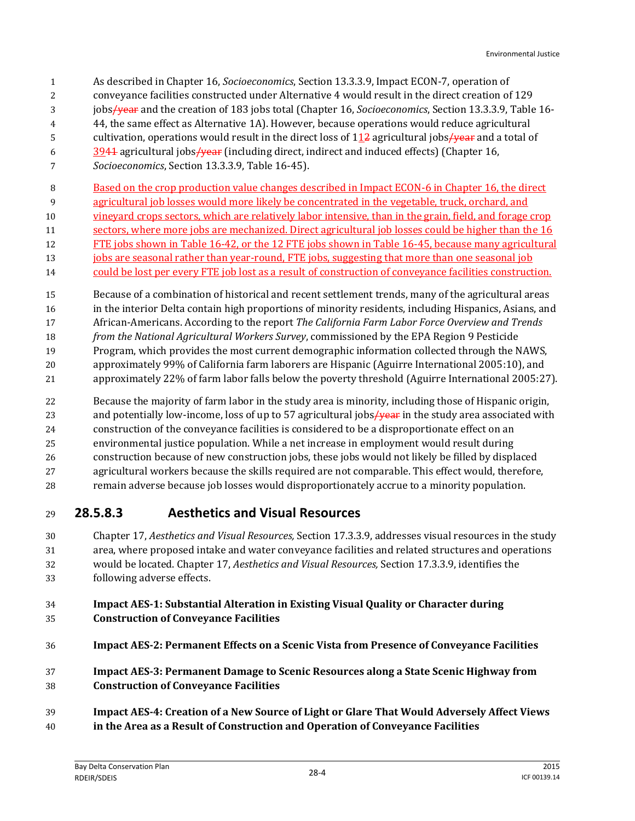- As described in Chapter 16, *Socioeconomics*, Section 13.3.3.9, Impact ECON-7, operation of
- conveyance facilities constructed under Alternative 4 would result in the direct creation of 129
- jobs/year and the creation of 183 jobs total (Chapter 16, *Socioeconomics*, Section 13.3.3.9, Table 16-
- 44, the same effect as Alternative 1A). However, because operations would reduce agricultural
- 5 cultivation, operations would result in the direct loss of agricultural jobs / year and a total of
- $\frac{3944}{9941}$  agricultural jobs/year (including direct, indirect and induced effects) (Chapter 16,
- *Socioeconomics*, Section 13.3.3.9, Table 16-45).
- Based on the crop production value changes described in Impact ECON-6 in Chapter 16, the direct
- agricultural job losses would more likely be concentrated in the vegetable, truck, orchard, and
- vineyard crops sectors, which are relatively labor intensive, than in the grain, field, and forage crop
- sectors, where more jobs are mechanized. Direct agricultural job losses could be higher than the 16
- FTE jobs shown in Table 16-42, or the 12 FTE jobs shown in Table 16-45, because many agricultural
- 13 jobs are seasonal rather than year-round, FTE jobs, suggesting that more than one seasonal job
- 14 could be lost per every FTE job lost as a result of construction of conveyance facilities construction.
- Because of a combination of historical and recent settlement trends, many of the agricultural areas in the interior Delta contain high proportions of minority residents, including Hispanics, Asians, and
- African-Americans. According to the report *The California Farm Labor Force Overview and Trends*
- *from the National Agricultural Workers Survey*, commissioned by the EPA Region 9 Pesticide
- Program, which provides the most current demographic information collected through the NAWS,
- approximately 99% of California farm laborers are Hispanic (Aguirre International 2005:10), and
- approximately 22% of farm labor falls below the poverty threshold (Aguirre International 2005:27).
- Because the majority of farm labor in the study area is minority, including those of Hispanic origin,
- 23 and potentially low-income, loss of up to 57 agricultural jobs  $\frac{1}{2}$  in the study area associated with
- construction of the conveyance facilities is considered to be a disproportionate effect on an
- environmental justice population. While a net increase in employment would result during
- construction because of new construction jobs, these jobs would not likely be filled by displaced
- agricultural workers because the skills required are not comparable. This effect would, therefore,
- remain adverse because job losses would disproportionately accrue to a minority population.

### **28.5.8.3 Aesthetics and Visual Resources**

 Chapter 17, *Aesthetics and Visual Resources,* Section 17.3.3.9, addresses visual resources in the study area, where proposed intake and water conveyance facilities and related structures and operations would be located. Chapter 17, *Aesthetics and Visual Resources,* Section 17.3.3.9, identifies the following adverse effects.

### **Impact AES-1: Substantial Alteration in Existing Visual Quality or Character during Construction of Conveyance Facilities**

- **Impact AES-2: Permanent Effects on a Scenic Vista from Presence of Conveyance Facilities**
- **Impact AES-3: Permanent Damage to Scenic Resources along a State Scenic Highway from Construction of Conveyance Facilities**
- **Impact AES-4: Creation of a New Source of Light or Glare That Would Adversely Affect Views**
- **in the Area as a Result of Construction and Operation of Conveyance Facilities**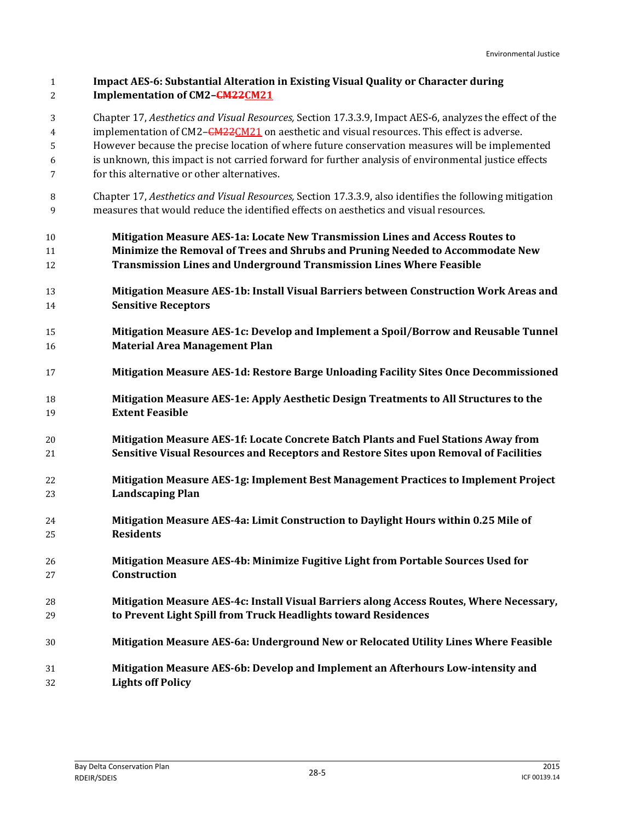| $1\,$<br>$\overline{2}$ | <b>Impact AES-6: Substantial Alteration in Existing Visual Quality or Character during</b><br>Implementation of CM2-CM22CM21                                                                                      |
|-------------------------|-------------------------------------------------------------------------------------------------------------------------------------------------------------------------------------------------------------------|
| 3<br>4                  | Chapter 17, Aesthetics and Visual Resources, Section 17.3.3.9, Impact AES-6, analyzes the effect of the<br>implementation of CM2- <del>CM22</del> CM21 on aesthetic and visual resources. This effect is adverse. |
| 5                       | However because the precise location of where future conservation measures will be implemented                                                                                                                    |
| 6                       | is unknown, this impact is not carried forward for further analysis of environmental justice effects                                                                                                              |
| 7                       | for this alternative or other alternatives.                                                                                                                                                                       |
| 8<br>9                  | Chapter 17, Aesthetics and Visual Resources, Section 17.3.3.9, also identifies the following mitigation<br>measures that would reduce the identified effects on aesthetics and visual resources.                  |
| 10                      | Mitigation Measure AES-1a: Locate New Transmission Lines and Access Routes to                                                                                                                                     |
| 11                      | Minimize the Removal of Trees and Shrubs and Pruning Needed to Accommodate New                                                                                                                                    |
| 12                      | <b>Transmission Lines and Underground Transmission Lines Where Feasible</b>                                                                                                                                       |
| 13                      | Mitigation Measure AES-1b: Install Visual Barriers between Construction Work Areas and                                                                                                                            |
| 14                      | <b>Sensitive Receptors</b>                                                                                                                                                                                        |
| 15                      | Mitigation Measure AES-1c: Develop and Implement a Spoil/Borrow and Reusable Tunnel                                                                                                                               |
| 16                      | <b>Material Area Management Plan</b>                                                                                                                                                                              |
| 17                      | Mitigation Measure AES-1d: Restore Barge Unloading Facility Sites Once Decommissioned                                                                                                                             |
| 18                      | Mitigation Measure AES-1e: Apply Aesthetic Design Treatments to All Structures to the                                                                                                                             |
| 19                      | <b>Extent Feasible</b>                                                                                                                                                                                            |
| 20                      | Mitigation Measure AES-1f: Locate Concrete Batch Plants and Fuel Stations Away from                                                                                                                               |
| 21                      | Sensitive Visual Resources and Receptors and Restore Sites upon Removal of Facilities                                                                                                                             |
| 22                      | Mitigation Measure AES-1g: Implement Best Management Practices to Implement Project                                                                                                                               |
| 23                      | <b>Landscaping Plan</b>                                                                                                                                                                                           |
| 24                      | Mitigation Measure AES-4a: Limit Construction to Daylight Hours within 0.25 Mile of                                                                                                                               |
| 25                      | <b>Residents</b>                                                                                                                                                                                                  |
| 26                      | Mitigation Measure AES-4b: Minimize Fugitive Light from Portable Sources Used for                                                                                                                                 |
| 27                      | Construction                                                                                                                                                                                                      |
| 28                      | Mitigation Measure AES-4c: Install Visual Barriers along Access Routes, Where Necessary,                                                                                                                          |
| 29                      | to Prevent Light Spill from Truck Headlights toward Residences                                                                                                                                                    |
| 30                      | Mitigation Measure AES-6a: Underground New or Relocated Utility Lines Where Feasible                                                                                                                              |
| 31                      | Mitigation Measure AES-6b: Develop and Implement an Afterhours Low-intensity and                                                                                                                                  |
| 32                      | <b>Lights off Policy</b>                                                                                                                                                                                          |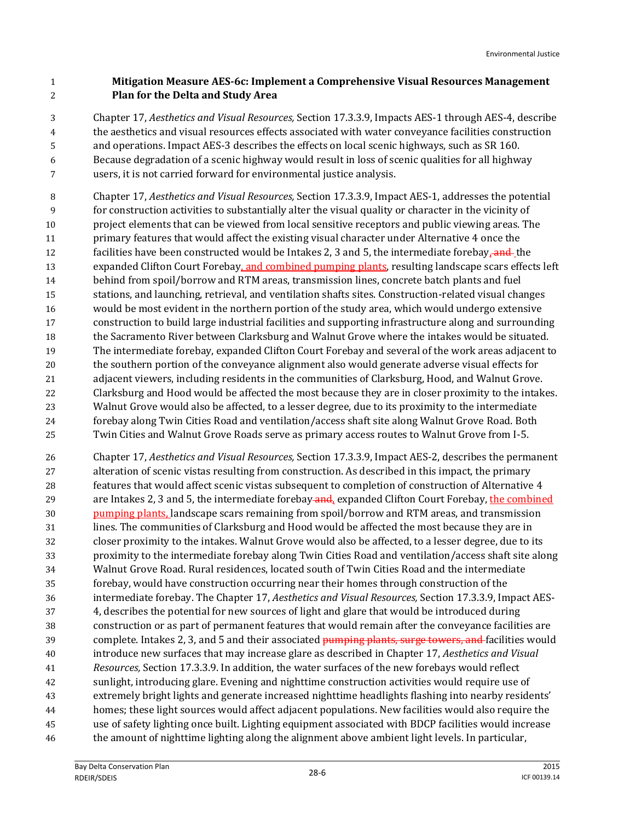### **Mitigation Measure AES-6c: Implement a Comprehensive Visual Resources Management Plan for the Delta and Study Area**

 Chapter 17, *Aesthetics and Visual Resources,* Section 17.3.3.9, Impacts AES-1 through AES-4, describe the aesthetics and visual resources effects associated with water conveyance facilities construction and operations. Impact AES-3 describes the effects on local scenic highways, such as SR 160. Because degradation of a scenic highway would result in loss of scenic qualities for all highway users, it is not carried forward for environmental justice analysis.

 Chapter 17, *Aesthetics and Visual Resources,* Section 17.3.3.9, Impact AES-1, addresses the potential for construction activities to substantially alter the visual quality or character in the vicinity of project elements that can be viewed from local sensitive receptors and public viewing areas. The primary features that would affect the existing visual character under Alternative 4 once the 12 facilities have been constructed would be Intakes 2, 3 and 5, the intermediate forebay, and the 13 expanded Clifton Court Forebay, and combined pumping plants, resulting landscape scars effects left behind from spoil/borrow and RTM areas, transmission lines, concrete batch plants and fuel stations, and launching, retrieval, and ventilation shafts sites. Construction-related visual changes would be most evident in the northern portion of the study area, which would undergo extensive construction to build large industrial facilities and supporting infrastructure along and surrounding the Sacramento River between Clarksburg and Walnut Grove where the intakes would be situated. The intermediate forebay, expanded Clifton Court Forebay and several of the work areas adjacent to the southern portion of the conveyance alignment also would generate adverse visual effects for adjacent viewers, including residents in the communities of Clarksburg, Hood, and Walnut Grove. Clarksburg and Hood would be affected the most because they are in closer proximity to the intakes. Walnut Grove would also be affected, to a lesser degree, due to its proximity to the intermediate forebay along Twin Cities Road and ventilation/access shaft site along Walnut Grove Road. Both Twin Cities and Walnut Grove Roads serve as primary access routes to Walnut Grove from I-5.

 Chapter 17, *Aesthetics and Visual Resources,* Section 17.3.3.9, Impact AES-2, describes the permanent alteration of scenic vistas resulting from construction. As described in this impact, the primary features that would affect scenic vistas subsequent to completion of construction of Alternative 4 29 are Intakes 2, 3 and 5, the intermediate forebay and, expanded Clifton Court Forebay, the combined 30 pumping plants, landscape scars remaining from spoil/borrow and RTM areas, and transmission lines. The communities of Clarksburg and Hood would be affected the most because they are in closer proximity to the intakes. Walnut Grove would also be affected, to a lesser degree, due to its proximity to the intermediate forebay along Twin Cities Road and ventilation/access shaft site along Walnut Grove Road. Rural residences, located south of Twin Cities Road and the intermediate forebay, would have construction occurring near their homes through construction of the intermediate forebay. The Chapter 17, *Aesthetics and Visual Resources,* Section 17.3.3.9, Impact AES- 4, describes the potential for new sources of light and glare that would be introduced during construction or as part of permanent features that would remain after the conveyance facilities are 39 complete. Intakes 2, 3, and 5 and their associated **pumping plants, surge towers, and** facilities would introduce new surfaces that may increase glare as described in Chapter 17, *Aesthetics and Visual Resources,* Section 17.3.3.9. In addition, the water surfaces of the new forebays would reflect sunlight, introducing glare. Evening and nighttime construction activities would require use of extremely bright lights and generate increased nighttime headlights flashing into nearby residents' homes; these light sources would affect adjacent populations. New facilities would also require the use of safety lighting once built. Lighting equipment associated with BDCP facilities would increase the amount of nighttime lighting along the alignment above ambient light levels. In particular,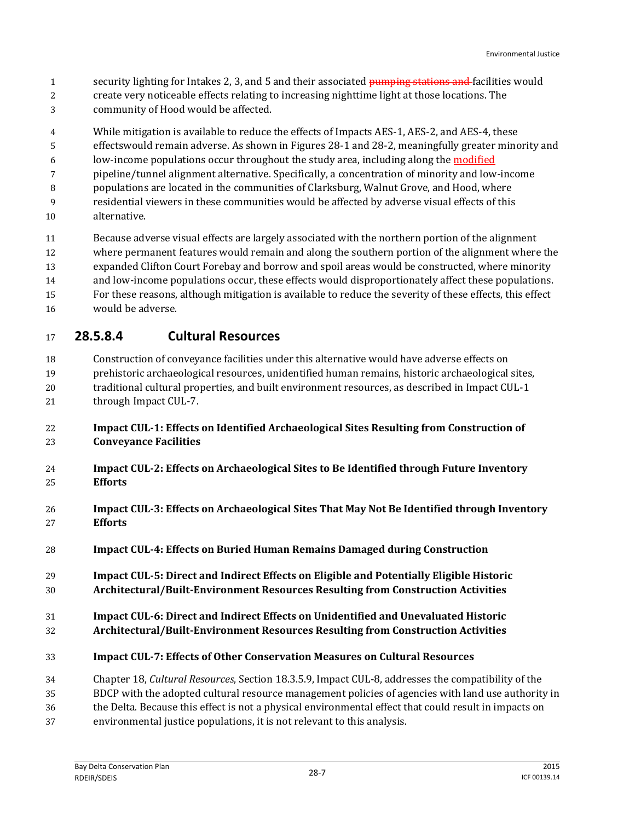- 1 security lighting for Intakes 2, 3, and 5 and their associated pumping stations and facilities would
- create very noticeable effects relating to increasing nighttime light at those locations. The community of Hood would be affected.
- While mitigation is available to reduce the effects of Impacts AES-1, AES-2, and AES-4, these
- effectswould remain adverse. As shown in Figures 28-1 and 28-2, meaningfully greater minority and
- 6 low-income populations occur throughout the study area, including along the modified
- pipeline/tunnel alignment alternative. Specifically, a concentration of minority and low-income
- populations are located in the communities of Clarksburg, Walnut Grove, and Hood, where
- residential viewers in these communities would be affected by adverse visual effects of this alternative.
- Because adverse visual effects are largely associated with the northern portion of the alignment
- where permanent features would remain and along the southern portion of the alignment where the
- expanded Clifton Court Forebay and borrow and spoil areas would be constructed, where minority
- and low-income populations occur, these effects would disproportionately affect these populations.
- For these reasons, although mitigation is available to reduce the severity of these effects, this effect
- would be adverse.

### **28.5.8.4 Cultural Resources**

Construction of conveyance facilities under this alternative would have adverse effects on

- prehistoric archaeological resources, unidentified human remains, historic archaeological sites,
- traditional cultural properties, and built environment resources, as described in Impact CUL-1 21 through Impact CUL-7.
- **Impact CUL-1: Effects on Identified Archaeological Sites Resulting from Construction of Conveyance Facilities**
- **Impact CUL-2: Effects on Archaeological Sites to Be Identified through Future Inventory Efforts**
- **Impact CUL-3: Effects on Archaeological Sites That May Not Be Identified through Inventory Efforts**
- **Impact CUL-4: Effects on Buried Human Remains Damaged during Construction**
- **Impact CUL-5: Direct and Indirect Effects on Eligible and Potentially Eligible Historic Architectural/Built-Environment Resources Resulting from Construction Activities**
- **Impact CUL-6: Direct and Indirect Effects on Unidentified and Unevaluated Historic**
- **Architectural/Built-Environment Resources Resulting from Construction Activities**
- **Impact CUL-7: Effects of Other Conservation Measures on Cultural Resources**
- Chapter 18, *Cultural Resources*, Section 18.3.5.9, Impact CUL-8, addresses the compatibility of the
- BDCP with the adopted cultural resource management policies of agencies with land use authority in
- the Delta. Because this effect is not a physical environmental effect that could result in impacts on
- environmental justice populations, it is not relevant to this analysis.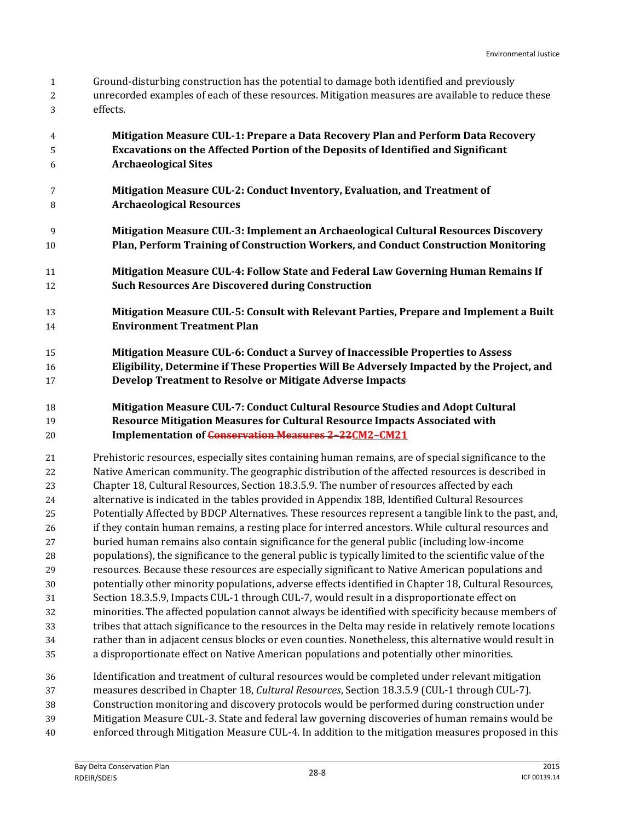- Ground-disturbing construction has the potential to damage both identified and previously
- unrecorded examples of each of these resources. Mitigation measures are available to reduce these effects.
- **Mitigation Measure CUL-1: Prepare a Data Recovery Plan and Perform Data Recovery Excavations on the Affected Portion of the Deposits of Identified and Significant Archaeological Sites**
- **Mitigation Measure CUL-2: Conduct Inventory, Evaluation, and Treatment of Archaeological Resources**
- **Mitigation Measure CUL-3: Implement an Archaeological Cultural Resources Discovery Plan, Perform Training of Construction Workers, and Conduct Construction Monitoring**
- **Mitigation Measure CUL-4: Follow State and Federal Law Governing Human Remains If Such Resources Are Discovered during Construction**
- **Mitigation Measure CUL-5: Consult with Relevant Parties, Prepare and Implement a Built Environment Treatment Plan**
- **Mitigation Measure CUL-6: Conduct a Survey of Inaccessible Properties to Assess Eligibility, Determine if These Properties Will Be Adversely Impacted by the Project, and Develop Treatment to Resolve or Mitigate Adverse Impacts**
- **Mitigation Measure CUL-7: Conduct Cultural Resource Studies and Adopt Cultural Resource Mitigation Measures for Cultural Resource Impacts Associated with Implementation of Conservation Measures 2–22CM2–CM21**

 Prehistoric resources, especially sites containing human remains, are of special significance to the Native American community. The geographic distribution of the affected resources is described in Chapter 18, Cultural Resources, Section 18.3.5.9. The number of resources affected by each alternative is indicated in the tables provided in Appendix 18B, Identified Cultural Resources Potentially Affected by BDCP Alternatives. These resources represent a tangible link to the past, and, if they contain human remains, a resting place for interred ancestors. While cultural resources and buried human remains also contain significance for the general public (including low-income populations), the significance to the general public is typically limited to the scientific value of the resources. Because these resources are especially significant to Native American populations and potentially other minority populations, adverse effects identified in Chapter 18, Cultural Resources, Section 18.3.5.9, Impacts CUL-1 through CUL-7, would result in a disproportionate effect on minorities. The affected population cannot always be identified with specificity because members of tribes that attach significance to the resources in the Delta may reside in relatively remote locations rather than in adjacent census blocks or even counties. Nonetheless, this alternative would result in a disproportionate effect on Native American populations and potentially other minorities.

- Identification and treatment of cultural resources would be completed under relevant mitigation measures described in Chapter 18, *Cultural Resources*, Section 18.3.5.9 (CUL-1 through CUL-7). Construction monitoring and discovery protocols would be performed during construction under Mitigation Measure CUL-3. State and federal law governing discoveries of human remains would be
- enforced through Mitigation Measure CUL-4*.* In addition to the mitigation measures proposed in this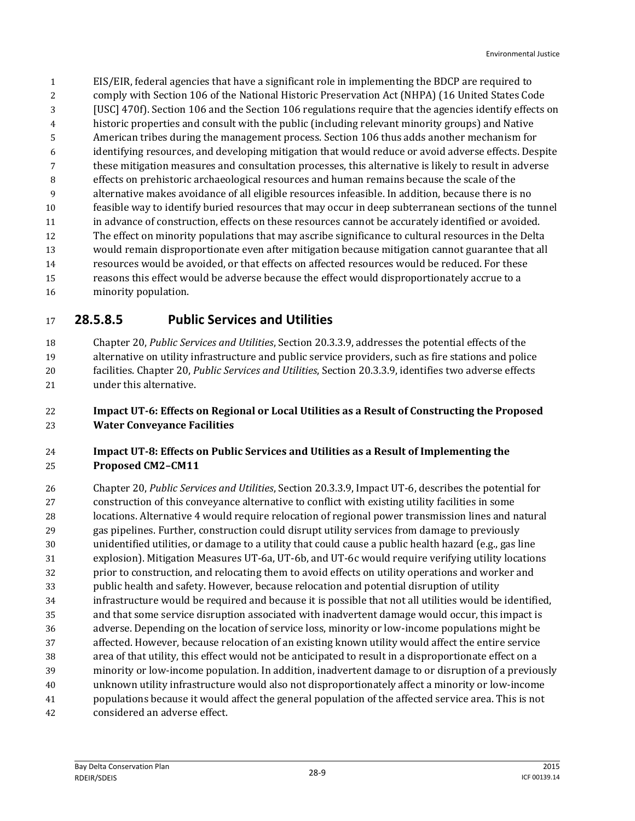EIS/EIR, federal agencies that have a significant role in implementing the BDCP are required to comply with Section 106 of the National Historic Preservation Act (NHPA) (16 United States Code [USC] 470f). Section 106 and the Section 106 regulations require that the agencies identify effects on historic properties and consult with the public (including relevant minority groups) and Native American tribes during the management process. Section 106 thus adds another mechanism for identifying resources, and developing mitigation that would reduce or avoid adverse effects. Despite these mitigation measures and consultation processes, this alternative is likely to result in adverse effects on prehistoric archaeological resources and human remains because the scale of the alternative makes avoidance of all eligible resources infeasible. In addition, because there is no feasible way to identify buried resources that may occur in deep subterranean sections of the tunnel in advance of construction, effects on these resources cannot be accurately identified or avoided. The effect on minority populations that may ascribe significance to cultural resources in the Delta would remain disproportionate even after mitigation because mitigation cannot guarantee that all resources would be avoided, or that effects on affected resources would be reduced. For these reasons this effect would be adverse because the effect would disproportionately accrue to a minority population.

### **28.5.8.5 Public Services and Utilities**

 Chapter 20, *Public Services and Utilities*, Section 20.3.3.9, addresses the potential effects of the alternative on utility infrastructure and public service providers, such as fire stations and police facilities. Chapter 20, *Public Services and Utilities*, Section 20.3.3.9, identifies two adverse effects under this alternative.

### **Impact UT-6: Effects on Regional or Local Utilities as a Result of Constructing the Proposed Water Conveyance Facilities**

### **Impact UT-8: Effects on Public Services and Utilities as a Result of Implementing the Proposed CM2–CM11**

 Chapter 20, *Public Services and Utilities*, Section 20.3.3.9, Impact UT-6, describes the potential for construction of this conveyance alternative to conflict with existing utility facilities in some locations. Alternative 4 would require relocation of regional power transmission lines and natural gas pipelines. Further, construction could disrupt utility services from damage to previously unidentified utilities, or damage to a utility that could cause a public health hazard (e.g., gas line explosion). Mitigation Measures UT-6a, UT-6b, and UT-6c would require verifying utility locations prior to construction, and relocating them to avoid effects on utility operations and worker and public health and safety. However, because relocation and potential disruption of utility infrastructure would be required and because it is possible that not all utilities would be identified, and that some service disruption associated with inadvertent damage would occur, this impact is adverse. Depending on the location of service loss, minority or low-income populations might be affected. However, because relocation of an existing known utility would affect the entire service area of that utility, this effect would not be anticipated to result in a disproportionate effect on a minority or low-income population. In addition, inadvertent damage to or disruption of a previously unknown utility infrastructure would also not disproportionately affect a minority or low-income populations because it would affect the general population of the affected service area. This is not considered an adverse effect.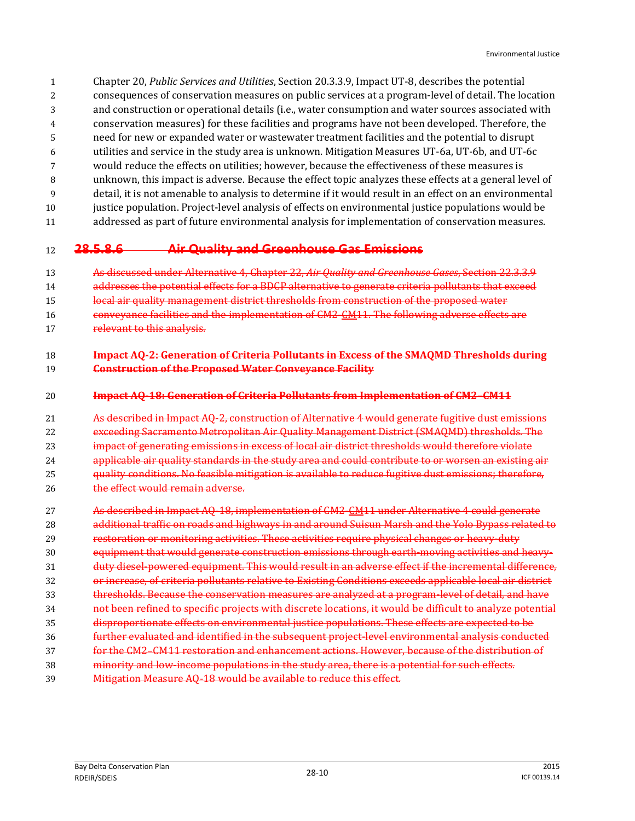- Chapter 20, *Public Services and Utilities*, Section 20.3.3.9, Impact UT-8, describes the potential
- consequences of conservation measures on public services at a program-level of detail. The location
- and construction or operational details (i.e., water consumption and water sources associated with
- conservation measures) for these facilities and programs have not been developed. Therefore, the
- need for new or expanded water or wastewater treatment facilities and the potential to disrupt
- utilities and service in the study area is unknown. Mitigation Measures UT-6a, UT-6b, and UT-6c
- would reduce the effects on utilities; however, because the effectiveness of these measures is
- unknown, this impact is adverse. Because the effect topic analyzes these effects at a general level of
- detail, it is not amenable to analysis to determine if it would result in an effect on an environmental
- justice population. Project-level analysis of effects on environmental justice populations would be addressed as part of future environmental analysis for implementation of conservation measures.

### **28.5.8.6 Air Quality and Greenhouse Gas Emissions**

- As discussed under Alternative 4, Chapter 22, *Air Quality and Greenhouse Gases*, Section 22.3.3.9
- 14 addresses the potential effects for a BDCP alternative to generate criteria pollutants that exceed
- 15 local air quality management district thresholds from construction of the proposed water
- conveyance facilities and the implementation of CM2-CM11. The following adverse effects are
- 17 relevant to this analysis.

#### **Impact AQ-2: Generation of Criteria Pollutants in Excess of the SMAQMD Thresholds during Construction of the Proposed Water Conveyance Facility**

#### **Impact AQ-18: Generation of Criteria Pollutants from Implementation of CM2–CM11**

 As described in Impact AQ-2, construction of Alternative 4 would generate fugitive dust emissions exceeding Sacramento Metropolitan Air Quality Management District (SMAQMD) thresholds. The **impact of generating emissions in excess of local air district thresholds would therefore violate**  applicable air quality standards in the study area and could contribute to or worsen an existing air quality conditions. No feasible mitigation is available to reduce fugitive dust emissions; therefore, 26 the effect would remain adverse.

- As described in Impact AQ-18, implementation of CM2-CM11 under Alternative 4 could generate additional traffic on roads and highways in and around Suisun Marsh and the Yolo Bypass related to restoration or monitoring activities. These activities require physical changes or heavy-duty **Exercise 20 equipment that would generate construction emissions through earth-moving activities and heavy-** duty diesel-powered equipment. This would result in an adverse effect if the incremental difference, or increase, of criteria pollutants relative to Existing Conditions exceeds applicable local air district thresholds. Because the conservation measures are analyzed at a program-level of detail, and have not been refined to specific projects with discrete locations, it would be difficult to analyze potential disproportionate effects on environmental justice populations. These effects are expected to be further evaluated and identified in the subsequent project-level environmental analysis conducted for the CM2–CM11 restoration and enhancement actions. However, because of the distribution of minority and low-income populations in the study area, there is a potential for such effects.
- Mitigation Measure AQ-18 would be available to reduce this effect.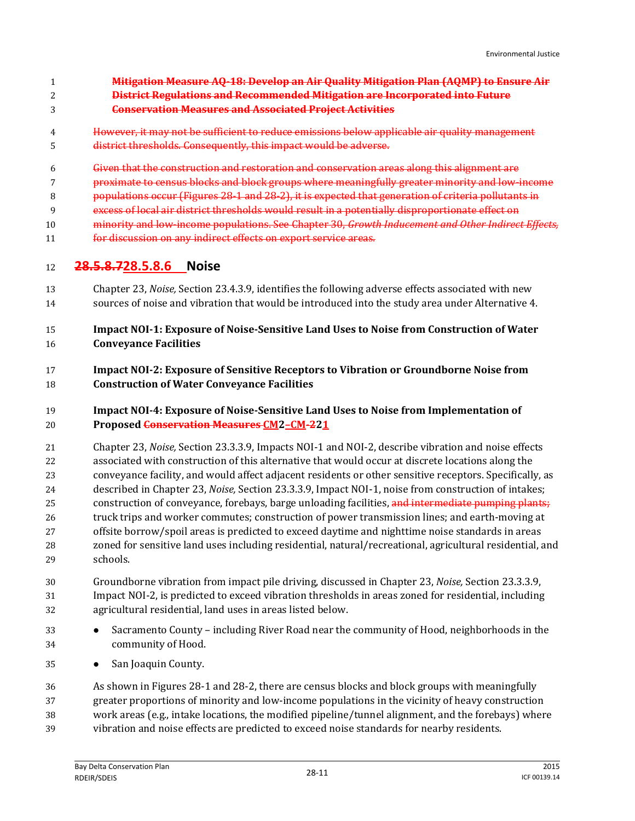- **Mitigation Measure AQ-18: Develop an Air Quality Mitigation Plan (AQMP) to Ensure Air District Regulations and Recommended Mitigation are Incorporated into Future**
- **Conservation Measures and Associated Project Activities**
- However, it may not be sufficient to reduce emissions below applicable air quality management district thresholds. Consequently, this impact would be adverse.
- Given that the construction and restoration and conservation areas along this alignment are
- **proximate to census blocks and block groups where meaningfully greater minority and low-income**
- **populations occur (Figures 28-1 and 28-2), it is expected that generation of criteria pollutants in**
- excess of local air district thresholds would result in a potentially disproportionate effect on
- minority and low-income populations. See Chapter 30, *Growth Inducement and Other Indirect Effects,*
- 11 for discussion on any indirect effects on export service areas.

### **28.5.8.728.5.8.6 Noise**

 Chapter 23, *Noise,* Section 23.4.3.9, identifies the following adverse effects associated with new sources of noise and vibration that would be introduced into the study area under Alternative 4.

### **Impact NOI-1: Exposure of Noise-Sensitive Land Uses to Noise from Construction of Water Conveyance Facilities**

### **Impact NOI-2: Exposure of Sensitive Receptors to Vibration or Groundborne Noise from Construction of Water Conveyance Facilities**

### **Impact NOI-4: Exposure of Noise-Sensitive Land Uses to Noise from Implementation of Proposed Conservation Measures CM2–CM-221**

 Chapter 23, *Noise,* Section 23.3.3.9, Impacts NOI-1 and NOI-2, describe vibration and noise effects associated with construction of this alternative that would occur at discrete locations along the conveyance facility, and would affect adjacent residents or other sensitive receptors. Specifically, as described in Chapter 23, *Noise,* Section 23.3.3.9, Impact NOI-1, noise from construction of intakes; 25 construction of conveyance, forebays, barge unloading facilities, and intermediate pumping plants; truck trips and worker commutes; construction of power transmission lines; and earth-moving at offsite borrow/spoil areas is predicted to exceed daytime and nighttime noise standards in areas zoned for sensitive land uses including residential, natural/recreational, agricultural residential, and schools.

- Groundborne vibration from impact pile driving, discussed in Chapter 23, *Noise,* Section 23.3.3.9, Impact NOI-2, is predicted to exceed vibration thresholds in areas zoned for residential, including agricultural residential, land uses in areas listed below.
- 33 Sacramento County including River Road near the community of Hood, neighborhoods in the community of Hood.
- San Joaquin County.

 As shown in Figures 28-1 and 28-2, there are census blocks and block groups with meaningfully greater proportions of minority and low-income populations in the vicinity of heavy construction work areas (e.g., intake locations, the modified pipeline/tunnel alignment, and the forebays) where vibration and noise effects are predicted to exceed noise standards for nearby residents.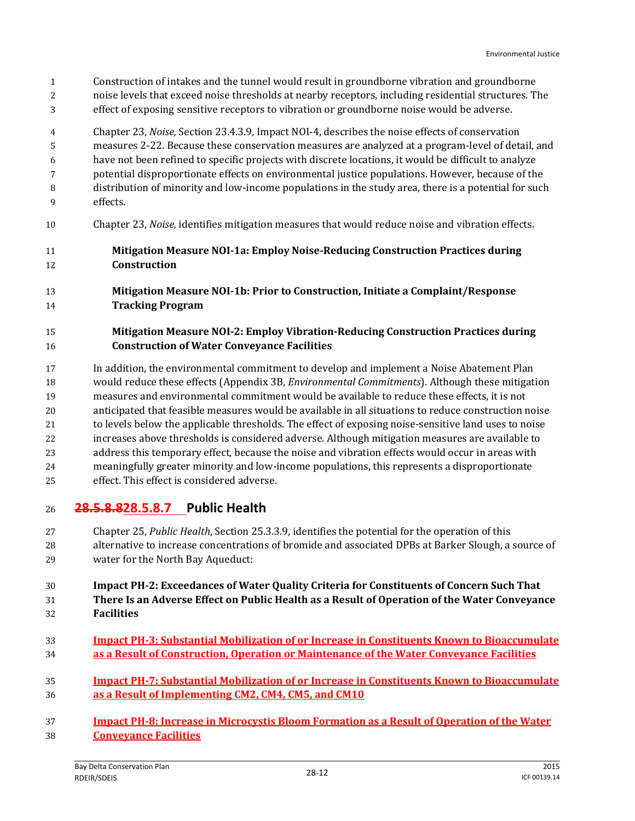Construction of intakes and the tunnel would result in groundborne vibration and groundborne noise levels that exceed noise thresholds at nearby receptors, including residential structures. The effect of exposing sensitive receptors to vibration or groundborne noise would be adverse.

 Chapter 23, *Noise,* Section 23.4.3.9, Impact NOI-4, describes the noise effects of conservation measures 2-22. Because these conservation measures are analyzed at a program-level of detail, and have not been refined to specific projects with discrete locations, it would be difficult to analyze potential disproportionate effects on environmental justice populations. However, because of the distribution of minority and low-income populations in the study area, there is a potential for such effects.

- Chapter 23, *Noise,* identifies mitigation measures that would reduce noise and vibration effects.
- **Mitigation Measure NOI-1a: Employ Noise-Reducing Construction Practices during Construction**
- **Mitigation Measure NOI-1b: Prior to Construction, Initiate a Complaint/Response Tracking Program**
- **Mitigation Measure NOI-2: Employ Vibration-Reducing Construction Practices during Construction of Water Conveyance Facilities**
- In addition, the environmental commitment to develop and implement a Noise Abatement Plan would reduce these effects (Appendix 3B, *Environmental Commitments*). Although these mitigation measures and environmental commitment would be available to reduce these effects, it is not anticipated that feasible measures would be available in all situations to reduce construction noise to levels below the applicable thresholds. The effect of exposing noise-sensitive land uses to noise increases above thresholds is considered adverse. Although mitigation measures are available to address this temporary effect, because the noise and vibration effects would occur in areas with
- meaningfully greater minority and low-income populations, this represents a disproportionate effect. This effect is considered adverse.

### **28.5.8.828.5.8.7 Public Health**

 Chapter 25, *Public Health*, Section 25.3.3.9, identifies the potential for the operation of this alternative to increase concentrations of bromide and associated DPBs at Barker Slough, a source of water for the North Bay Aqueduct:

#### **Impact PH-2: Exceedances of Water Quality Criteria for Constituents of Concern Such That There Is an Adverse Effect on Public Health as a Result of Operation of the Water Conveyance Facilities**

- **Impact PH-3: Substantial Mobilization of or Increase in Constituents Known to Bioaccumulate as a Result of Construction, Operation or Maintenance of the Water Conveyance Facilities**
- **Impact PH-7: Substantial Mobilization of or Increase in Constituents Known to Bioaccumulate as a Result of Implementing CM2, CM4, CM5, and CM10**
- **Impact PH-8: Increase in Microcystis Bloom Formation as a Result of Operation of the Water Conveyance Facilities**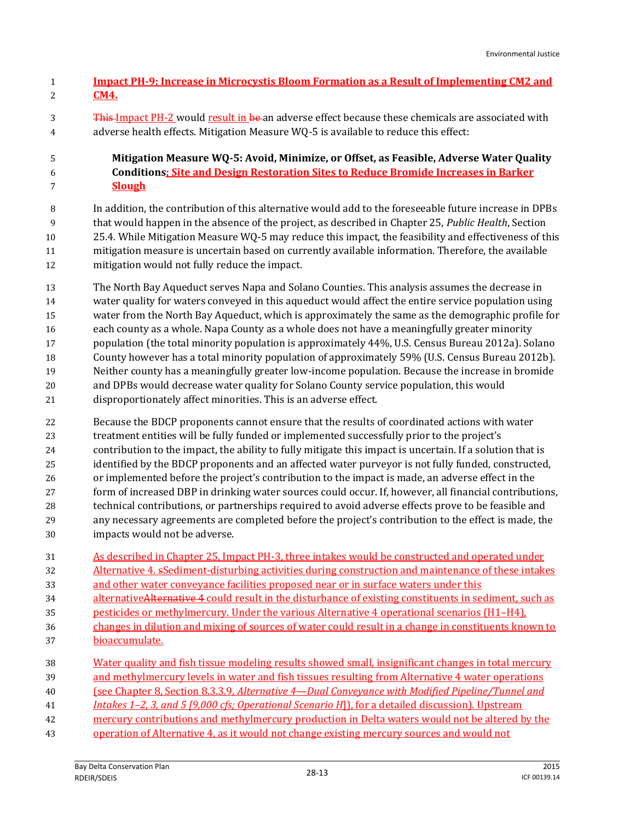| <u>Impact PH-9: Increase in Microcystis Bloom Formation as a Result of Implementing CM2 and</u> |
|-------------------------------------------------------------------------------------------------|
| <b>CM4.</b>                                                                                     |

3 This-Impact PH-2 would result in be an adverse effect because these chemicals are associated with adverse health effects. Mitigation Measure WQ-5 is available to reduce this effect:

#### **Mitigation Measure WQ-5: Avoid, Minimize, or Offset, as Feasible, Adverse Water Quality Conditions; Site and Design Restoration Sites to Reduce Bromide Increases in Barker Slough**

 In addition, the contribution of this alternative would add to the foreseeable future increase in DPBs that would happen in the absence of the project, as described in Chapter 25, *Public Health*, Section 25.4*.* While Mitigation Measure WQ-5 may reduce this impact, the feasibility and effectiveness of this mitigation measure is uncertain based on currently available information. Therefore, the available mitigation would not fully reduce the impact.

 The North Bay Aqueduct serves Napa and Solano Counties. This analysis assumes the decrease in water quality for waters conveyed in this aqueduct would affect the entire service population using water from the North Bay Aqueduct, which is approximately the same as the demographic profile for each county as a whole. Napa County as a whole does not have a meaningfully greater minority population (the total minority population is approximately 44%, U.S. Census Bureau 2012a). Solano County however has a total minority population of approximately 59% (U.S. Census Bureau 2012b). Neither county has a meaningfully greater low-income population. Because the increase in bromide and DPBs would decrease water quality for Solano County service population, this would disproportionately affect minorities. This is an adverse effect.

 Because the BDCP proponents cannot ensure that the results of coordinated actions with water treatment entities will be fully funded or implemented successfully prior to the project's contribution to the impact, the ability to fully mitigate this impact is uncertain. If a solution that is identified by the BDCP proponents and an affected water purveyor is not fully funded, constructed, or implemented before the project's contribution to the impact is made, an adverse effect in the form of increased DBP in drinking water sources could occur. If, however, all financial contributions, technical contributions, or partnerships required to avoid adverse effects prove to be feasible and any necessary agreements are completed before the project's contribution to the effect is made, the impacts would not be adverse.

 As described in Chapter 25, Impact PH-3, three intakes would be constructed and operated under Alternative 4. sSediment-disturbing activities during construction and maintenance of these intakes and other water conveyance facilities proposed near or in surface waters under this 34 alternativeAlternative 4 could result in the disturbance of existing constituents in sediment, such as pesticides or methylmercury. Under the various Alternative 4 operational scenarios (H1–H4), changes in dilution and mixing of sources of water could result in a change in constituents known to

- bioaccumulate.
- Water quality and fish tissue modeling results showed small, insignificant changes in total mercury

39 and methylmercury levels in water and fish tissues resulting from Alternative 4 water operations (see Chapter 8, Section 8.3.3.9, *Alternative 4—Dual Conveyance with Modified Pipeline/Tunnel and* 

- *Intakes 1–2, 3, and 5 [9,000 cfs; Operational Scenario H*]), for a detailed discussion). Upstream
- 42 mercury contributions and methylmercury production in Delta waters would not be altered by the
- operation of Alternative 4, as it would not change existing mercury sources and would not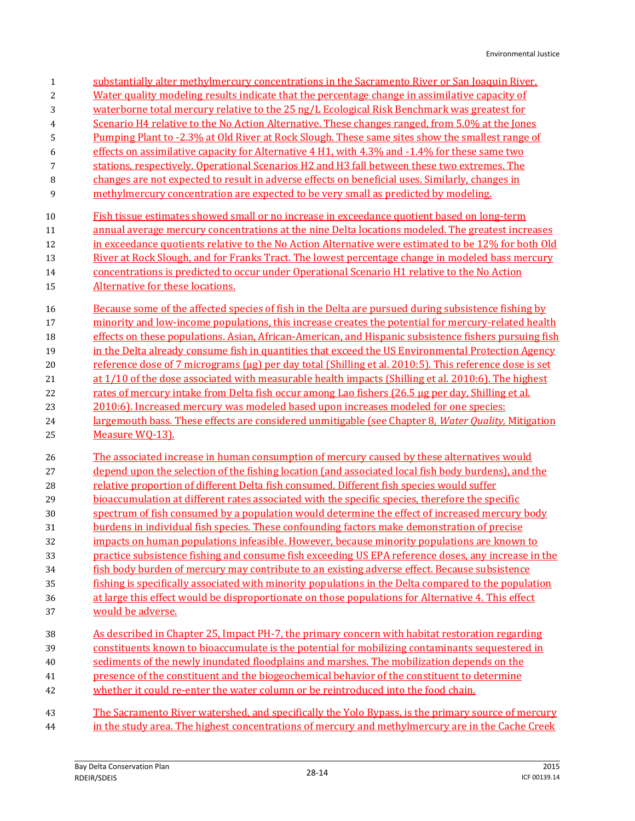| $\mathbf{1}$     | substantially alter methylmercury concentrations in the Sacramento River or San Joaquin River.         |
|------------------|--------------------------------------------------------------------------------------------------------|
| $\boldsymbol{2}$ | Water quality modeling results indicate that the percentage change in assimilative capacity of         |
| 3                | waterborne total mercury relative to the 25 ng/L Ecological Risk Benchmark was greatest for            |
| 4                | Scenario H4 relative to the No Action Alternative. These changes ranged, from 5.0% at the Jones        |
| 5                | Pumping Plant to -2.3% at Old River at Rock Slough. These same sites show the smallest range of        |
| 6                | effects on assimilative capacity for Alternative 4 H1, with 4.3% and -1.4% for these same two          |
| 7                | stations, respectively. Operational Scenarios H2 and H3 fall between these two extremes. The           |
| 8                | changes are not expected to result in adverse effects on beneficial uses. Similarly, changes in        |
| 9                | methylmercury concentration are expected to be very small as predicted by modeling.                    |
| 10               | Fish tissue estimates showed small or no increase in exceedance quotient based on long-term            |
| 11               | annual average mercury concentrations at the nine Delta locations modeled. The greatest increases      |
| 12               | in exceedance quotients relative to the No Action Alternative were estimated to be 12% for both Old    |
| 13               | River at Rock Slough, and for Franks Tract. The lowest percentage change in modeled bass mercury       |
| 14               | concentrations is predicted to occur under Operational Scenario H1 relative to the No Action           |
| 15               | Alternative for these locations.                                                                       |
| 16               | Because some of the affected species of fish in the Delta are pursued during subsistence fishing by    |
| 17               | minority and low-income populations, this increase creates the potential for mercury-related health    |
| 18               | effects on these populations. Asian, African-American, and Hispanic subsistence fishers pursuing fish  |
| 19               | in the Delta already consume fish in quantities that exceed the US Environmental Protection Agency     |
| 20               | reference dose of 7 micrograms (µg) per day total (Shilling et al. 2010:5). This reference dose is set |
| 21               | at 1/10 of the dose associated with measurable health impacts (Shilling et al. 2010:6). The highest    |
| 22               | rates of mercury intake from Delta fish occur among Lao fishers (26.5 µg per day, Shilling et al.      |
| 23               | 2010:6). Increased mercury was modeled based upon increases modeled for one species:                   |
| 24               | largemouth bass. These effects are considered unmitigable (see Chapter 8, Water Quality, Mitigation    |
| 25               | Measure WO-13).                                                                                        |
| 26               | The associated increase in human consumption of mercury caused by these alternatives would             |
| 27               | depend upon the selection of the fishing location (and associated local fish body burdens), and the    |
| 28               | relative proportion of different Delta fish consumed. Different fish species would suffer              |
| 29               | bioaccumulation at different rates associated with the specific species, therefore the specific        |
| 30               | spectrum of fish consumed by a population would determine the effect of increased mercury body         |
| 31               | burdens in individual fish species. These confounding factors make demonstration of precise            |
| 32               | impacts on human populations infeasible. However, because minority populations are known to            |
| 33               | practice subsistence fishing and consume fish exceeding US EPA reference doses, any increase in the    |
| 34               | fish body burden of mercury may contribute to an existing adverse effect. Because subsistence          |
| 35               | fishing is specifically associated with minority populations in the Delta compared to the population   |
| 36               | at large this effect would be disproportionate on those populations for Alternative 4. This effect     |
| 37               | would be adverse.                                                                                      |
| 38               | As described in Chapter 25, Impact PH-7, the primary concern with habitat restoration regarding        |
| 39               | constituents known to bioaccumulate is the potential for mobilizing contaminants sequestered in        |
| 40               | sediments of the newly inundated floodplains and marshes. The mobilization depends on the              |
| 41               | presence of the constituent and the biogeochemical behavior of the constituent to determine            |
| 42               | whether it could re-enter the water column or be reintroduced into the food chain.                     |
| 43               | The Sacramento River watershed, and specifically the Yolo Bypass, is the primary source of mercury     |
| 44               | in the study area. The highest concentrations of mercury and methylmercury are in the Cache Creek      |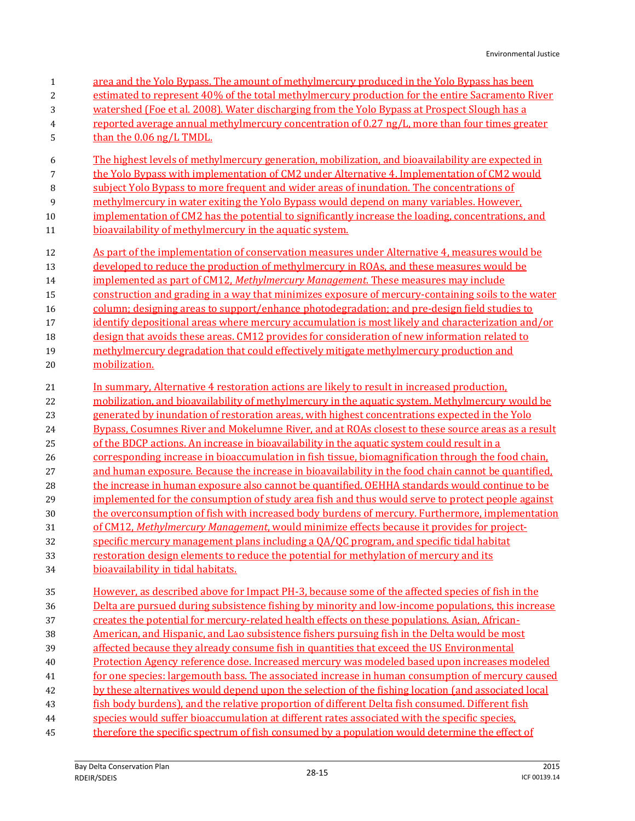| $\mathbf{1}$   | area and the Yolo Bypass. The amount of methylmercury produced in the Yolo Bypass has been                                                                                                      |
|----------------|-------------------------------------------------------------------------------------------------------------------------------------------------------------------------------------------------|
| $\overline{c}$ | estimated to represent 40% of the total methylmercury production for the entire Sacramento River                                                                                                |
| 3              | watershed (Foe et al. 2008). Water discharging from the Yolo Bypass at Prospect Slough has a                                                                                                    |
| 4              | reported average annual methylmercury concentration of 0.27 ng/L, more than four times greater                                                                                                  |
| 5              | than the 0.06 ng/L TMDL.                                                                                                                                                                        |
| 6              | The highest levels of methylmercury generation, mobilization, and bioavailability are expected in                                                                                               |
| 7              | the Yolo Bypass with implementation of CM2 under Alternative 4. Implementation of CM2 would                                                                                                     |
| 8              | subject Yolo Bypass to more frequent and wider areas of inundation. The concentrations of                                                                                                       |
| 9              | methylmercury in water exiting the Yolo Bypass would depend on many variables. However,                                                                                                         |
| 10             | implementation of CM2 has the potential to significantly increase the loading, concentrations, and                                                                                              |
| 11             | bioavailability of methylmercury in the aquatic system.                                                                                                                                         |
| 12             | As part of the implementation of conservation measures under Alternative 4, measures would be                                                                                                   |
| 13             | developed to reduce the production of methylmercury in ROAs, and these measures would be                                                                                                        |
| 14             | implemented as part of CM12, Methylmercury Management. These measures may include                                                                                                               |
| 15             | construction and grading in a way that minimizes exposure of mercury-containing soils to the water                                                                                              |
| 16             | column; designing areas to support/enhance photodegradation; and pre-design field studies to                                                                                                    |
| 17             | identify depositional areas where mercury accumulation is most likely and characterization and/or                                                                                               |
| 18             | design that avoids these areas. CM12 provides for consideration of new information related to                                                                                                   |
| 19             | methylmercury degradation that could effectively mitigate methylmercury production and                                                                                                          |
| 20             | mobilization.                                                                                                                                                                                   |
| 21             | In summary, Alternative 4 restoration actions are likely to result in increased production.                                                                                                     |
| 22             | mobilization, and bioavailability of methylmercury in the aquatic system. Methylmercury would be                                                                                                |
| 23             | generated by inundation of restoration areas, with highest concentrations expected in the Yolo                                                                                                  |
| 24             | Bypass, Cosumnes River and Mokelumne River, and at ROAs closest to these source areas as a result                                                                                               |
|                |                                                                                                                                                                                                 |
| 25             | of the BDCP actions. An increase in bioavailability in the aquatic system could result in a                                                                                                     |
| 26             | corresponding increase in bioaccumulation in fish tissue, biomagnification through the food chain,                                                                                              |
| 27             | and human exposure. Because the increase in bioavailability in the food chain cannot be quantified,                                                                                             |
| 28             | the increase in human exposure also cannot be quantified. OEHHA standards would continue to be                                                                                                  |
| 29             | implemented for the consumption of study area fish and thus would serve to protect people against                                                                                               |
| 30             | the overconsumption of fish with increased body burdens of mercury. Furthermore, implementation                                                                                                 |
| 31             | of CM12, Methylmercury Management, would minimize effects because it provides for project-                                                                                                      |
| 32             | specific mercury management plans including a QA/QC program, and specific tidal habitat                                                                                                         |
| 33             | restoration design elements to reduce the potential for methylation of mercury and its                                                                                                          |
| 34             | bioavailability in tidal habitats.                                                                                                                                                              |
| 35             | However, as described above for Impact PH-3, because some of the affected species of fish in the                                                                                                |
| 36             | Delta are pursued during subsistence fishing by minority and low-income populations, this increase                                                                                              |
| 37             | creates the potential for mercury-related health effects on these populations. Asian, African-                                                                                                  |
| 38             | American, and Hispanic, and Lao subsistence fishers pursuing fish in the Delta would be most                                                                                                    |
| 39             | affected because they already consume fish in quantities that exceed the US Environmental                                                                                                       |
| $40\,$         | Protection Agency reference dose. Increased mercury was modeled based upon increases modeled                                                                                                    |
| 41             | for one species: largemouth bass. The associated increase in human consumption of mercury caused                                                                                                |
| 42             | by these alternatives would depend upon the selection of the fishing location (and associated local                                                                                             |
| 43             | fish body burdens), and the relative proportion of different Delta fish consumed. Different fish                                                                                                |
| $\bf 44$<br>45 | species would suffer bioaccumulation at different rates associated with the specific species.<br>therefore the specific spectrum of fish consumed by a population would determine the effect of |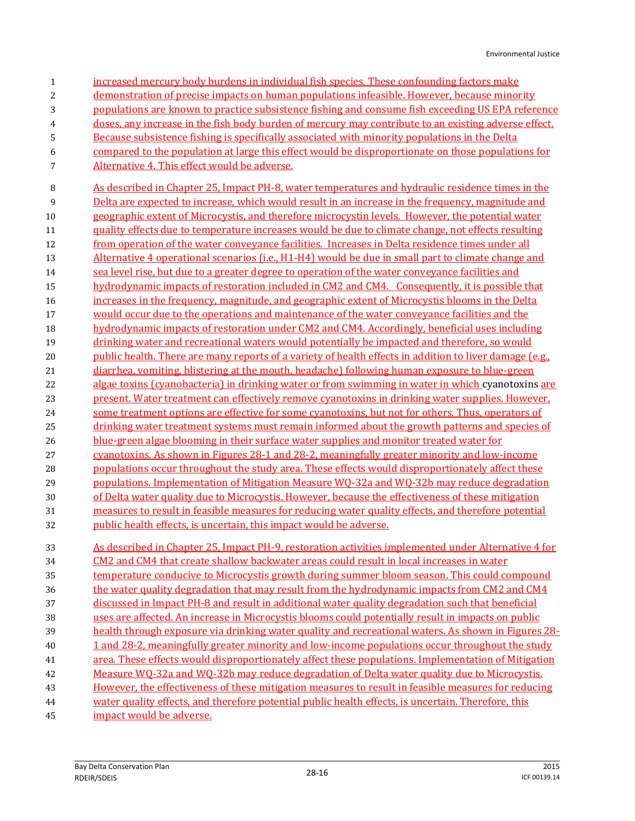| $\mathbf 1$ | increased mercury body burdens in individual fish species. These confounding factors make               |
|-------------|---------------------------------------------------------------------------------------------------------|
| 2           | demonstration of precise impacts on human populations infeasible. However, because minority             |
| 3           | populations are known to practice subsistence fishing and consume fish exceeding US EPA reference       |
| 4           | doses, any increase in the fish body burden of mercury may contribute to an existing adverse effect.    |
| 5           | Because subsistence fishing is specifically associated with minority populations in the Delta           |
| 6           | compared to the population at large this effect would be disproportionate on those populations for      |
| 7           | Alternative 4. This effect would be adverse.                                                            |
|             |                                                                                                         |
| 8           | As described in Chapter 25, Impact PH-8, water temperatures and hydraulic residence times in the        |
| 9           | Delta are expected to increase, which would result in an increase in the frequency, magnitude and       |
| 10          | geographic extent of Microcystis, and therefore microcystin levels. However, the potential water        |
| 11          | quality effects due to temperature increases would be due to climate change, not effects resulting      |
| 12          | from operation of the water conveyance facilities. Increases in Delta residence times under all         |
| 13          | Alternative 4 operational scenarios (i.e., H1-H4) would be due in small part to climate change and      |
| 14          | sea level rise, but due to a greater degree to operation of the water conveyance facilities and         |
| 15          | hydrodynamic impacts of restoration included in CM2 and CM4. Consequently, it is possible that          |
| 16          | increases in the frequency, magnitude, and geographic extent of Microcystis blooms in the Delta         |
| 17          | would occur due to the operations and maintenance of the water conveyance facilities and the            |
| 18          | hydrodynamic impacts of restoration under CM2 and CM4. Accordingly, beneficial uses including           |
| 19          | drinking water and recreational waters would potentially be impacted and therefore, so would            |
| 20          | public health. There are many reports of a variety of health effects in addition to liver damage (e.g., |
| 21          | diarrhea, vomiting, blistering at the mouth, headache) following human exposure to blue-green           |
| 22          | algae toxins (cyanobacteria) in drinking water or from swimming in water in which cyanotoxins are       |
| 23          | present. Water treatment can effectively remove cyanotoxins in drinking water supplies. However,        |
| 24          | some treatment options are effective for some cyanotoxins, but not for others. Thus, operators of       |
| 25          | drinking water treatment systems must remain informed about the growth patterns and species of          |
| 26          | blue-green algae blooming in their surface water supplies and monitor treated water for                 |
| 27          | cyanotoxins. As shown in Figures 28-1 and 28-2, meaningfully greater minority and low-income            |
| 28          | populations occur throughout the study area. These effects would disproportionately affect these        |
| 29          | populations. Implementation of Mitigation Measure WQ-32a and WQ-32b may reduce degradation              |
| 30          | of Delta water quality due to Microcystis. However, because the effectiveness of these mitigation       |
| 31          | measures to result in feasible measures for reducing water quality effects, and therefore potential     |
| 32          | public health effects, is uncertain, this impact would be adverse.                                      |
| 33          | As described in Chapter 25, Impact PH-9, restoration activities implemented under Alternative 4 for     |
| 34          | CM2 and CM4 that create shallow backwater areas could result in local increases in water                |
| 35          | temperature conducive to Microcystis growth during summer bloom season. This could compound             |
| 36          | the water quality degradation that may result from the hydrodynamic impacts from CM2 and CM4            |
| 37          | discussed in Impact PH-8 and result in additional water quality degradation such that beneficial        |
| 38          | uses are affected. An increase in Microcystis blooms could potentially result in impacts on public      |
| 39          | health through exposure via drinking water quality and recreational waters. As shown in Figures 28-     |
| 40          | 1 and 28-2, meaningfully greater minority and low-income populations occur throughout the study         |
| 41          | area. These effects would disproportionately affect these populations. Implementation of Mitigation     |
| 42          | Measure WO-32a and WO-32b may reduce degradation of Delta water quality due to Microcystis.             |
| 43          | However, the effectiveness of these mitigation measures to result in feasible measures for reducing     |
|             | water quality effects, and therefore potential public health effects, is uncertain. Therefore, this     |
| 44<br>45    | impact would be adverse.                                                                                |
|             |                                                                                                         |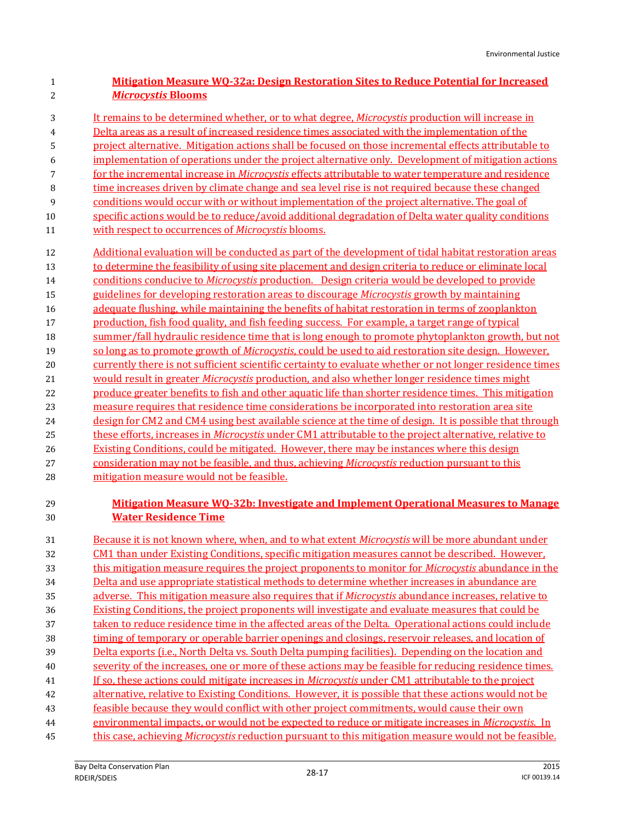### **Mitigation Measure WQ-32a: Design Restoration Sites to Reduce Potential for Increased**  *Microcystis* **Blooms**

- It remains to be determined whether, or to what degree, *Microcystis* production will increase in
- Delta areas as a result of increased residence times associated with the implementation of the
- project alternative. Mitigation actions shall be focused on those incremental effects attributable to
- implementation of operations under the project alternative only. Development of mitigation actions
- for the incremental increase in *Microcystis* effects attributable to water temperature and residence
- time increases driven by climate change and sea level rise is not required because these changed
- conditions would occur with or without implementation of the project alternative. The goal of specific actions would be to reduce/avoid additional degradation of Delta water quality conditions
- with respect to occurrences of *Microcystis* blooms.
- Additional evaluation will be conducted as part of the development of tidal habitat restoration areas 13 to determine the feasibility of using site placement and design criteria to reduce or eliminate local
- conditions conducive to *Microcystis* production. Design criteria would be developed to provide
- guidelines for developing restoration areas to discourage *Microcystis* growth by maintaining
- adequate flushing, while maintaining the benefits of habitat restoration in terms of zooplankton
- production, fish food quality, and fish feeding success. For example, a target range of typical
- summer/fall hydraulic residence time that is long enough to promote phytoplankton growth, but not so long as to promote growth of *Microcystis*, could be used to aid restoration site design. However,
- 20 currently there is not sufficient scientific certainty to evaluate whether or not longer residence times would result in greater *Microcystis* production, and also whether longer residence times might
- produce greater benefits to fish and other aquatic life than shorter residence times. This mitigation
- measure requires that residence time considerations be incorporated into restoration area site
- design for CM2 and CM4 using best available science at the time of design. It is possible that through these efforts, increases in *Microcystis* under CM1 attributable to the project alternative, relative to
- Existing Conditions, could be mitigated. However, there may be instances where this design
- consideration may not be feasible, and thus, achieving *Microcystis* reduction pursuant to this
- 28 mitigation measure would not be feasible.

### **Mitigation Measure WQ-32b: Investigate and Implement Operational Measures to Manage Water Residence Time**

 Because it is not known where, when, and to what extent *Microcystis* will be more abundant under CM1 than under Existing Conditions, specific mitigation measures cannot be described. However, this mitigation measure requires the project proponents to monitor for *Microcystis* abundance in the Delta and use appropriate statistical methods to determine whether increases in abundance are adverse. This mitigation measure also requires that if *Microcystis* abundance increases, relative to Existing Conditions, the project proponents will investigate and evaluate measures that could be taken to reduce residence time in the affected areas of the Delta. Operational actions could include timing of temporary or operable barrier openings and closings, reservoir releases, and location of Delta exports (i.e., North Delta vs. South Delta pumping facilities). Depending on the location and severity of the increases, one or more of these actions may be feasible for reducing residence times. If so, these actions could mitigate increases in *Microcystis* under CM1 attributable to the project alternative, relative to Existing Conditions. However, it is possible that these actions would not be feasible because they would conflict with other project commitments, would cause their own environmental impacts, or would not be expected to reduce or mitigate increases in *Microcystis*. In this case, achieving *Microcystis* reduction pursuant to this mitigation measure would not be feasible.